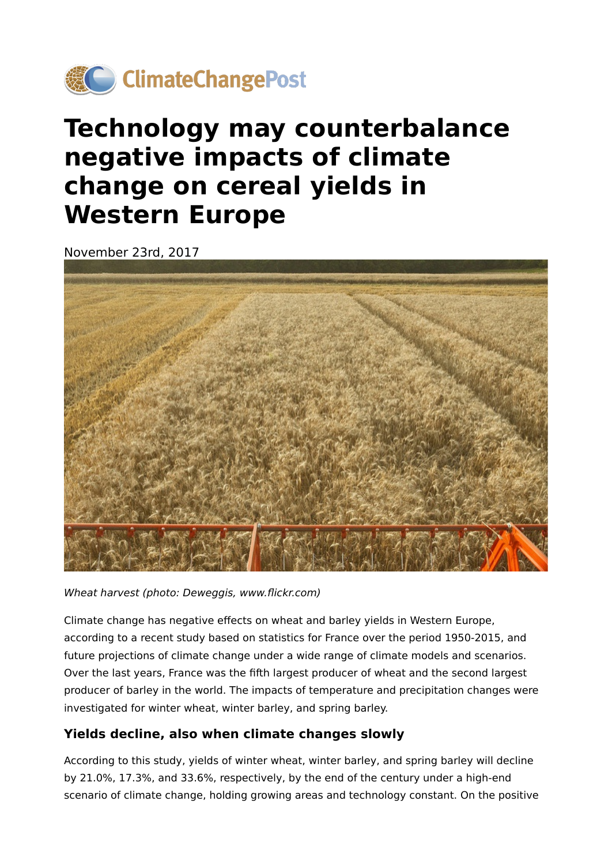

## **Technology may counterbalance negative impacts of climate change on cereal yields in Western Europe**

November 23rd, 2017



Wheat harvest (photo: Deweggis, www.flickr.com)

Climate change has negative effects on wheat and barley yields in Western Europe, according to a recent study based on statistics for France over the period 1950-2015, and future projections of climate change under a wide range of climate models and scenarios. Over the last years, France was the fifth largest producer of wheat and the second largest producer of barley in the world. The impacts of temperature and precipitation changes were investigated for winter wheat, winter barley, and spring barley.

## **Yields decline, also when climate changes slowly**

According to this study, yields of winter wheat, winter barley, and spring barley will decline by 21.0%, 17.3%, and 33.6%, respectively, by the end of the century under a high-end scenario of climate change, holding growing areas and technology constant. On the positive